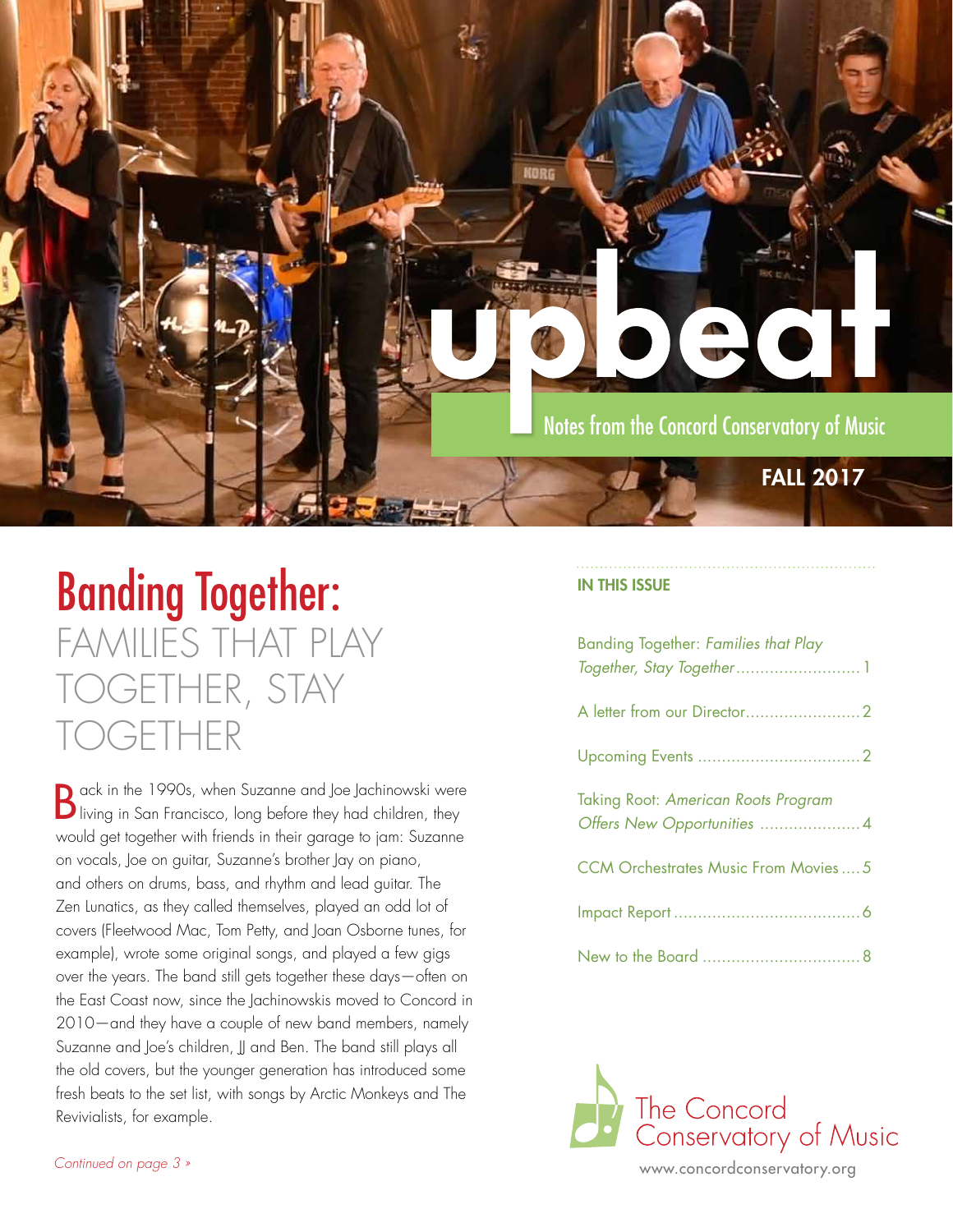

## Banding Together: FAMILIES THAT PLAY TOGETHER, STAY GETHER

B ack in the 1990s, when Suzanne and Joe Jachinowski were living in San Francisco, long before they had children, they would get together with friends in their garage to jam: Suzanne on vocals, Joe on guitar, Suzanne's brother Jay on piano, and others on drums, bass, and rhythm and lead guitar. The Zen Lunatics, as they called themselves, played an odd lot of covers (Fleetwood Mac, Tom Petty, and Joan Osborne tunes, for example), wrote some original songs, and played a few gigs over the years. The band still gets together these days—often on the East Coast now, since the Jachinowskis moved to Concord in 2010—and they have a couple of new band members, namely Suzanne and Joe's children, JJ and Ben. The band still plays all the old covers, but the younger generation has introduced some fresh beats to the set list, with songs by Arctic Monkeys and The Revivialists, for example.

### IN THIS ISSUE

| <b>Banding Together: Families that Play</b> |  |
|---------------------------------------------|--|
|                                             |  |
|                                             |  |
| Taking Root: American Roots Program         |  |
| <b>CCM Orchestrates Music From Movies5</b>  |  |
|                                             |  |
|                                             |  |

The Concord Conservatory of Music

www.concordconservatory.org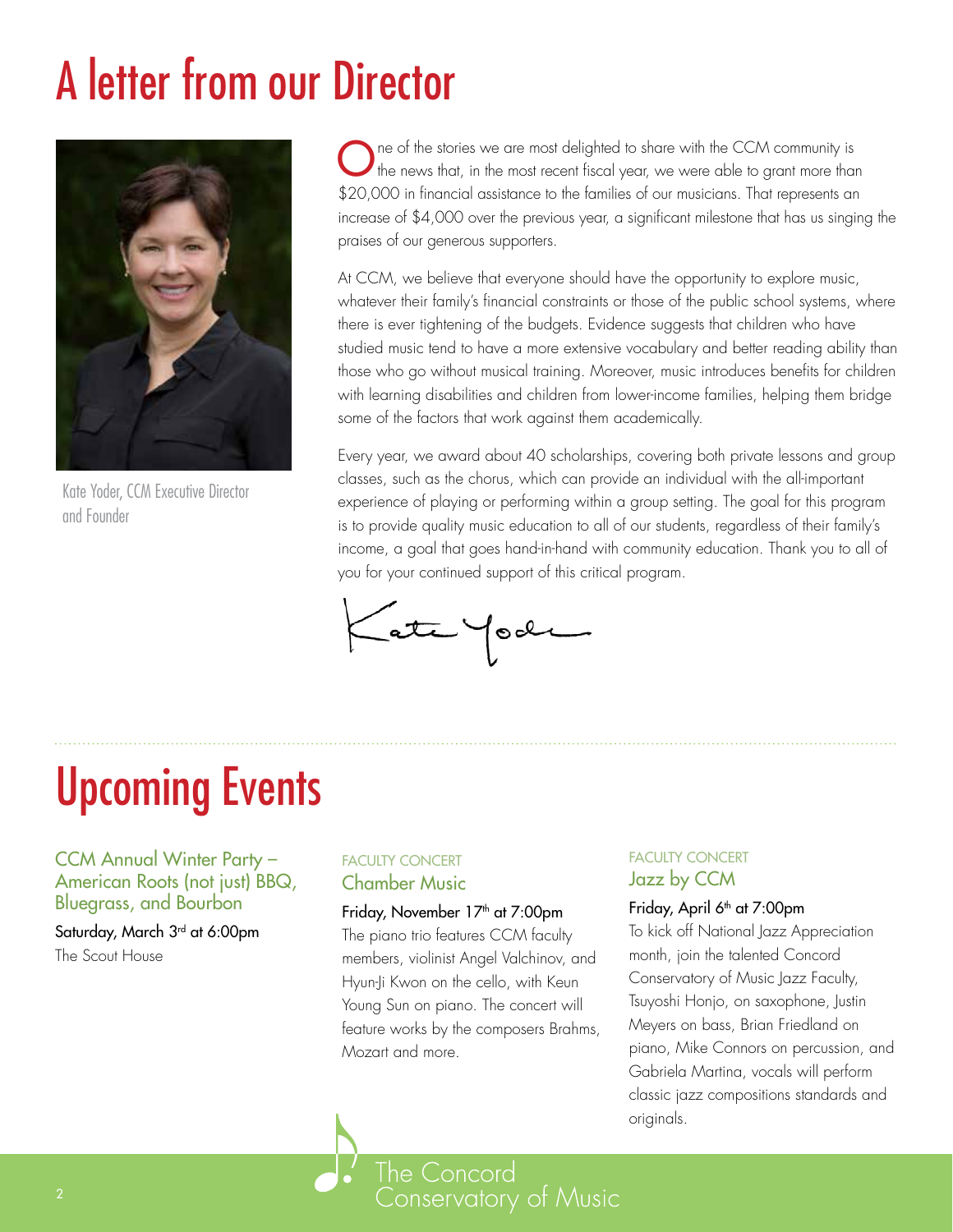# A letter from our Director



Kate Yoder, CCM Executive Director and Founder

**O** ne of the stories we are most delighted to share with the CCM community is the news that, in the most recent fiscal year, we were able to grant more than \$20,000 in financial assistance to the families of our musicians. That represents an increase of \$4,000 over the previous year, a significant milestone that has us singing the praises of our generous supporters.

At CCM, we believe that everyone should have the opportunity to explore music, whatever their family's financial constraints or those of the public school systems, where there is ever tightening of the budgets. Evidence suggests that children who have studied music tend to have a more extensive vocabulary and better reading ability than those who go without musical training. Moreover, music introduces benefits for children with learning disabilities and children from lower-income families, helping them bridge some of the factors that work against them academically.

Every year, we award about 40 scholarships, covering both private lessons and group classes, such as the chorus, which can provide an individual with the all-important experience of playing or performing within a group setting. The goal for this program is to provide quality music education to all of our students, regardless of their family's income, a goal that goes hand-in-hand with community education. Thank you to all of you for your continued support of this critical program.

Kate Yook

# Upcoming Events

CCM Annual Winter Party – American Roots (not just) BBQ, Bluegrass, and Bourbon

Saturday, March 3rd at 6:00pm The Scout House

### FACULTY CONCERT Chamber Music

#### Friday, November 17<sup>th</sup> at 7:00pm

The piano trio features CCM faculty members, violinist Angel Valchinov, and Hyun-Ji Kwon on the cello, with Keun Young Sun on piano. The concert will feature works by the composers Brahms, Mozart and more.

### FACULTY CONCERT Jazz by CCM

#### Friday, April 6<sup>th</sup> at 7:00pm

To kick off National Jazz Appreciation month, join the talented Concord Conservatory of Music Jazz Faculty, Tsuyoshi Honjo, on saxophone, Justin Meyers on bass, Brian Friedland on piano, Mike Connors on percussion, and Gabriela Martina, vocals will perform classic jazz compositions standards and originals.

2 www.concordconservatory.org<br>Participate of Music Conservatory of Music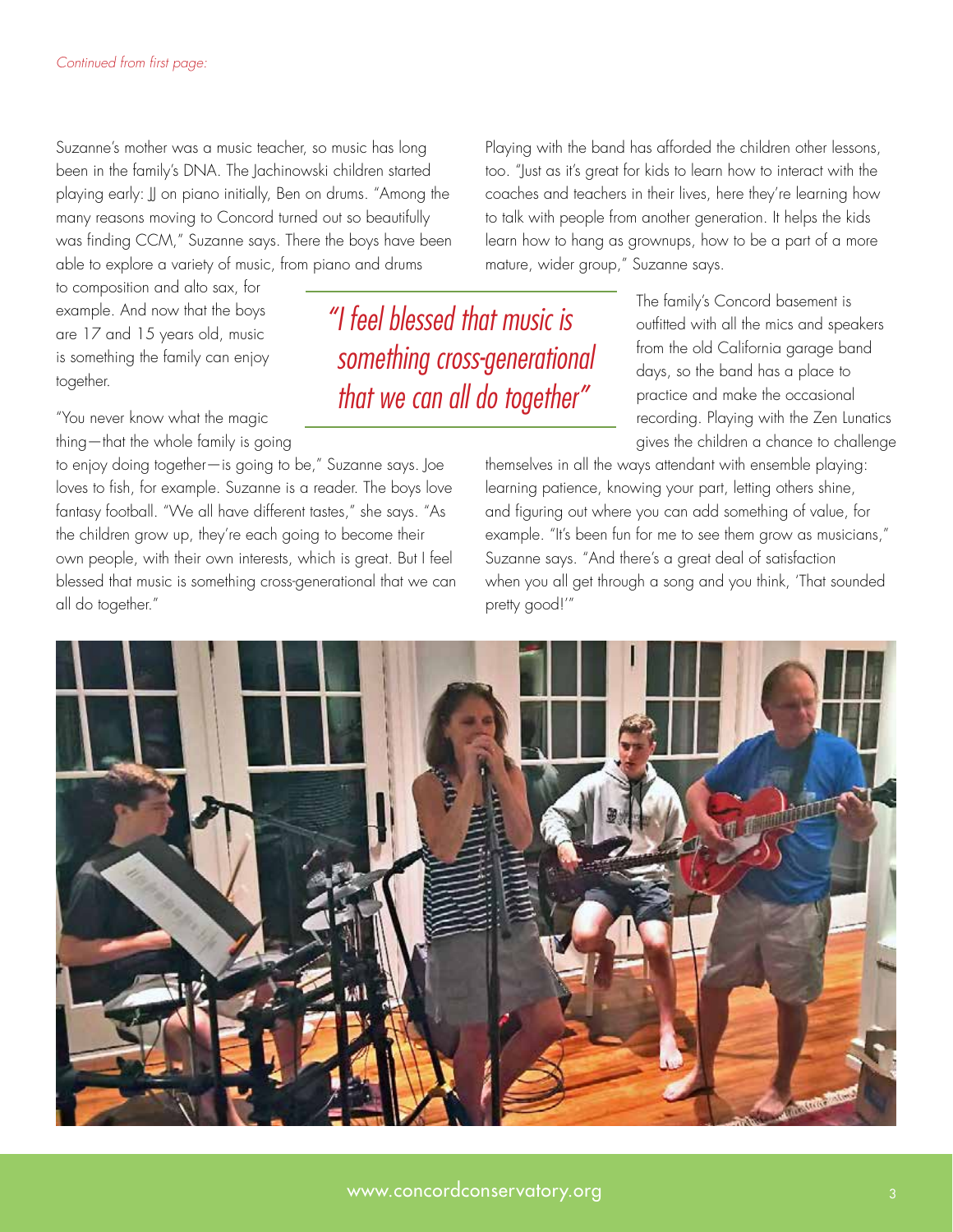Suzanne's mother was a music teacher, so music has long been in the family's DNA. The Jachinowski children started playing early: JJ on piano initially, Ben on drums. "Among the many reasons moving to Concord turned out so beautifully was finding CCM," Suzanne says. There the boys have been able to explore a variety of music, from piano and drums

to composition and alto sax, for example. And now that the boys are 17 and 15 years old, music is something the family can enjoy together.

"You never know what the magic thing—that the whole family is going

to enjoy doing together—is going to be," Suzanne says. Joe loves to fish, for example. Suzanne is a reader. The boys love fantasy football. "We all have different tastes," she says. "As the children grow up, they're each going to become their own people, with their own interests, which is great. But I feel blessed that music is something cross-generational that we can all do together."

*"I feel blessed that music is something cross-generational that we can all do together"*

Playing with the band has afforded the children other lessons, too. "Just as it's great for kids to learn how to interact with the coaches and teachers in their lives, here they're learning how to talk with people from another generation. It helps the kids learn how to hang as grownups, how to be a part of a more mature, wider group," Suzanne says.

> The family's Concord basement is outfitted with all the mics and speakers from the old California garage band days, so the band has a place to practice and make the occasional recording. Playing with the Zen Lunatics gives the children a chance to challenge

themselves in all the ways attendant with ensemble playing: learning patience, knowing your part, letting others shine, and figuring out where you can add something of value, for example. "It's been fun for me to see them grow as musicians," Suzanne says. "And there's a great deal of satisfaction when you all get through a song and you think, 'That sounded pretty good!'"

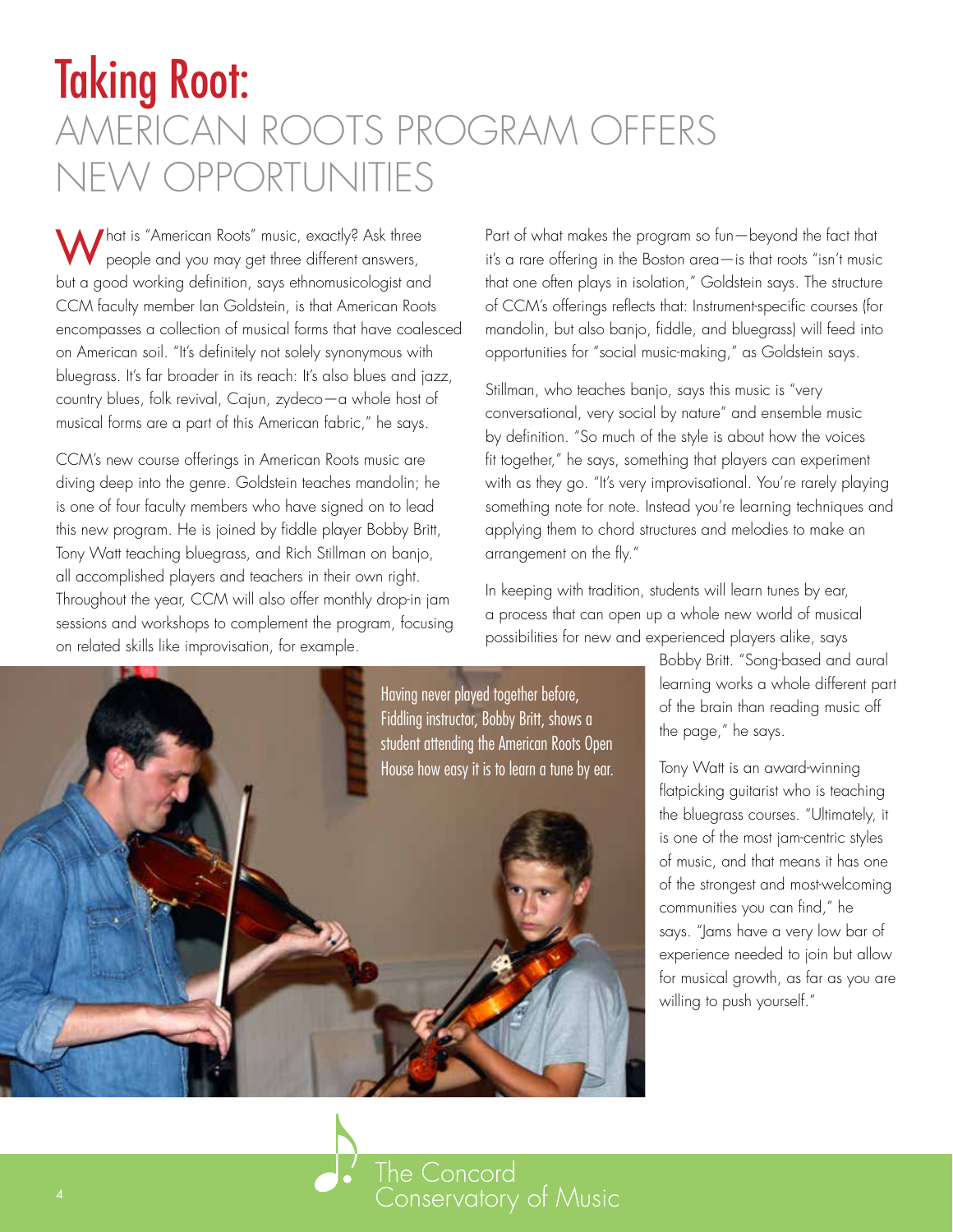## Taking Root: AMERICAN ROOTS PROGRAM OFFERS NEW OPPORTUNITIES

What is "American Roots" music, exactly? Ask three people and you may get three different answers, but a good working definition, says ethnomusicologist and CCM faculty member Ian Goldstein, is that American Roots encompasses a collection of musical forms that have coalesced on American soil. "It's definitely not solely synonymous with bluegrass. It's far broader in its reach: It's also blues and jazz, country blues, folk revival, Cajun, zydeco—a whole host of musical forms are a part of this American fabric," he says.

CCM's new course offerings in American Roots music are diving deep into the genre. Goldstein teaches mandolin; he is one of four faculty members who have signed on to lead this new program. He is joined by fiddle player Bobby Britt, Tony Watt teaching bluegrass, and Rich Stillman on banjo, all accomplished players and teachers in their own right. Throughout the year, CCM will also offer monthly drop-in jam sessions and workshops to complement the program, focusing on related skills like improvisation, for example.

Part of what makes the program so fun—beyond the fact that it's a rare offering in the Boston area—is that roots "isn't music that one often plays in isolation," Goldstein says. The structure of CCM's offerings reflects that: Instrument-specific courses (for mandolin, but also banjo, fiddle, and bluegrass) will feed into opportunities for "social music-making," as Goldstein says.

Stillman, who teaches banjo, says this music is "very conversational, very social by nature" and ensemble music by definition. "So much of the style is about how the voices fit together," he says, something that players can experiment with as they go. "It's very improvisational. You're rarely playing something note for note. Instead you're learning techniques and applying them to chord structures and melodies to make an arrangement on the fly."

In keeping with tradition, students will learn tunes by ear, a process that can open up a whole new world of musical possibilities for new and experienced players alike, says



Bobby Britt. "Song-based and aural learning works a whole different part of the brain than reading music off the page," he says.

Tony Watt is an award-winning flatpicking guitarist who is teaching the bluegrass courses. "Ultimately, it is one of the most jam-centric styles of music, and that means it has one of the strongest and most-welcoming communities you can find," he says. "Jams have a very low bar of experience needed to join but allow for musical growth, as far as you are willing to push yourself."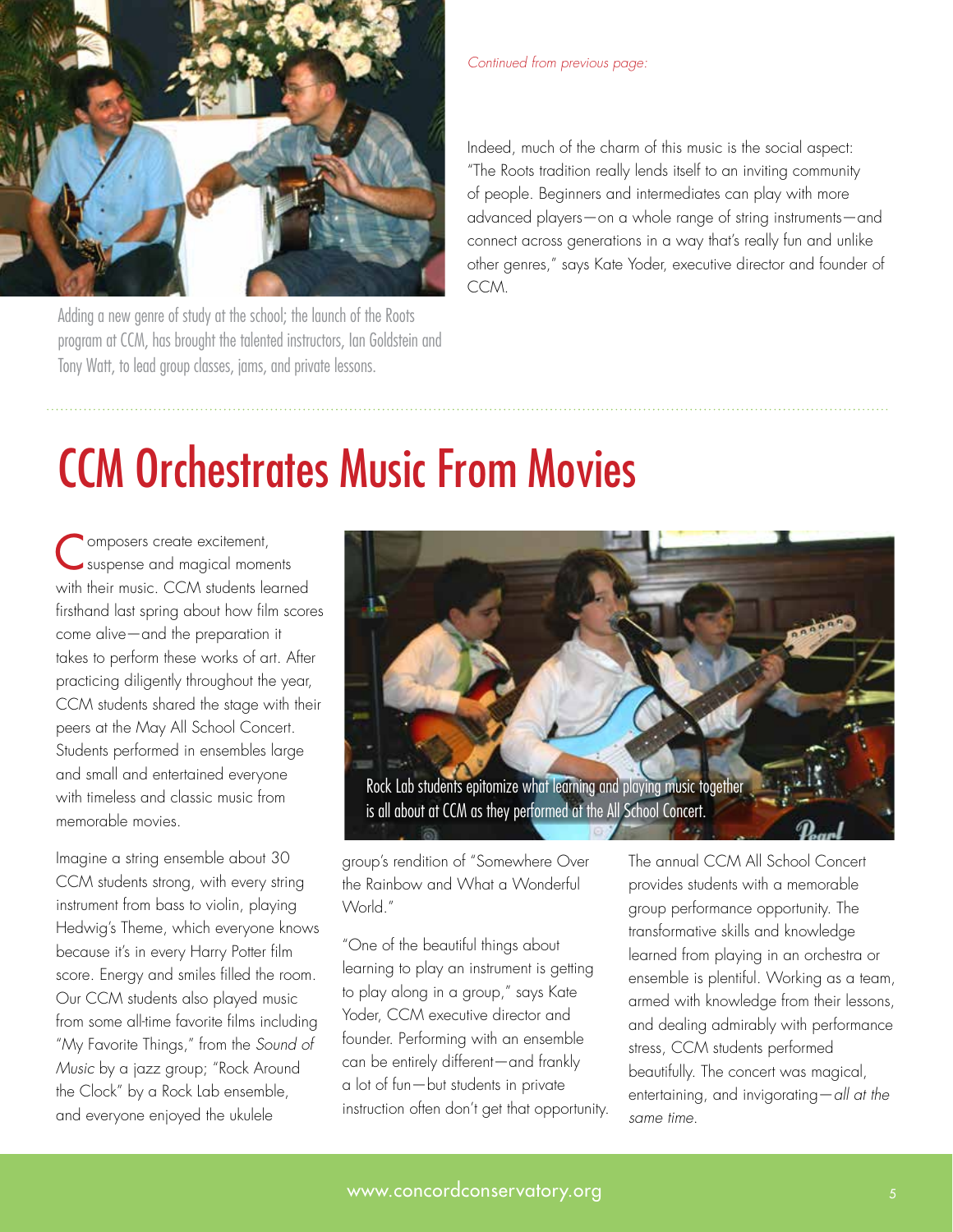

Adding a new genre of study at the school; the launch of the Roots program at CCM, has brought the talented instructors, Ian Goldstein and Tony Watt, to lead group classes, jams, and private lessons.

*Continued from previous page:* 

Indeed, much of the charm of this music is the social aspect: "The Roots tradition really lends itself to an inviting community of people. Beginners and intermediates can play with more advanced players—on a whole range of string instruments—and connect across generations in a way that's really fun and unlike other genres," says Kate Yoder, executive director and founder of CCM.

## CCM Orchestrates Music From Movies

Composers create excitement, suspense and magical moments with their music. CCM students learned firsthand last spring about how film scores come alive—and the preparation it takes to perform these works of art. After practicing diligently throughout the year, CCM students shared the stage with their peers at the May All School Concert. Students performed in ensembles large and small and entertained everyone with timeless and classic music from memorable movies.

Imagine a string ensemble about 30 CCM students strong, with every string instrument from bass to violin, playing Hedwig's Theme, which everyone knows because it's in every Harry Potter film score. Energy and smiles filled the room. Our CCM students also played music from some all-time favorite films including "My Favorite Things," from the *Sound of Music* by a jazz group; "Rock Around the Clock" by a Rock Lab ensemble, and everyone enjoyed the ukulele



group's rendition of "Somewhere Over the Rainbow and What a Wonderful World."

"One of the beautiful things about learning to play an instrument is getting to play along in a group," says Kate Yoder, CCM executive director and founder. Performing with an ensemble can be entirely different—and frankly a lot of fun—but students in private instruction often don't get that opportunity. The annual CCM All School Concert provides students with a memorable group performance opportunity. The transformative skills and knowledge learned from playing in an orchestra or ensemble is plentiful. Working as a team, armed with knowledge from their lessons, and dealing admirably with performance stress, CCM students performed beautifully. The concert was magical, entertaining, and invigorating—*all at the same time*.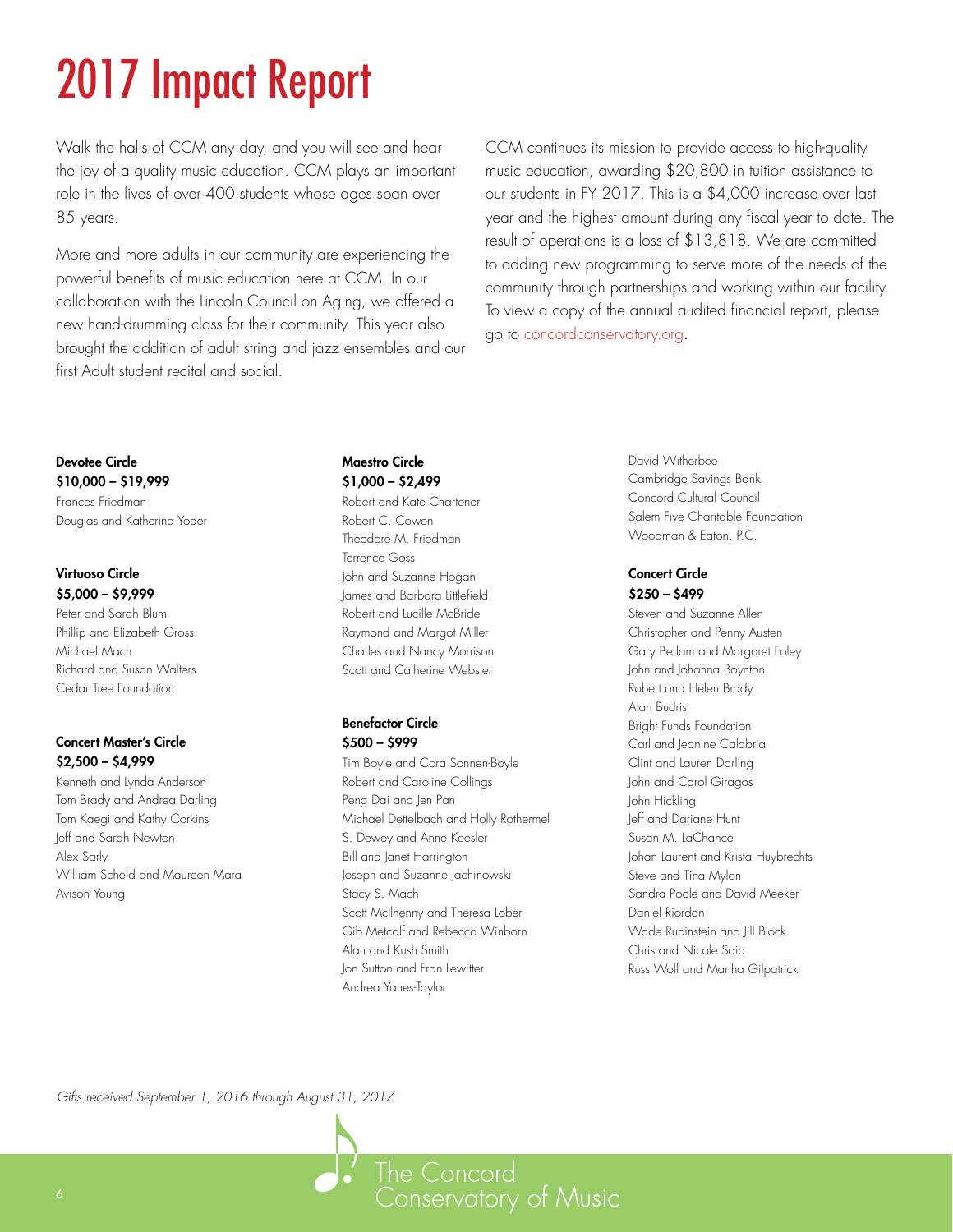# 2017 Impact Report

Walk the halls of CCM any day, and you will see and hear the joy of a quality music education. CCM plays an important role in the lives of over 400 students whose ages span over 85 years.

More and more adults in our community are experiencing the powerful benefits of music education here at CCM. In our collaboration with the Lincoln Council on Aging, we offered a new hand-drumming class for their community. This year also brought the addition of adult string and jazz ensembles and our first Adult student recital and social.

CCM continues its mission to provide access to high-quality music education, awarding \$20,800 in tuition assistance to our students in FY 2017. This is a \$4,000 increase over last year and the highest amount during any fiscal year to date. The result of operations is a loss of \$13,818. We are committed to adding new programming to serve more of the needs of the community through partnerships and working within our facility. To view a copy of the annual audited financial report, please go to concordconservatory.org.

### Maestro Circle \$1,000 – \$2,499

Robert and Kate Chartener Robert C. Cowen Theodore M. Friedman Terrence Goss John and Suzanne Hogan James and Barbara Littlefield Robert and Lucille McBride Raymond and Margot Miller Charles and Nancy Morrison Scott and Catherine Webster

#### Benefactor Circle \$500 – \$999

Tim Boyle and Cora Sonnen-Boyle Robert and Caroline Collings Peng Dai and Jen Pan Michael Dettelbach and Holly Rothermel S. Dewey and Anne Keesler Bill and Janet Harrington Joseph and Suzanne Jachinowski Stacy S. Mach Scott McIlhenny and Theresa Lober Gib Metcalf and Rebecca Winborn Alan and Kush Smith Jon Sutton and Fran Lewitter Andrea Yanes-Taylor

David Witherbee Cambridge Savings Bank Concord Cultural Council Salem Five Charitable Foundation Woodman & Eaton, P.C.

#### Concert Circle \$250 – \$499

Steven and Suzanne Allen Christopher and Penny Austen Gary Berlam and Margaret Foley John and Johanna Boynton Robert and Helen Brady Alan Budris Bright Funds Foundation Carl and Jeanine Calabria Clint and Lauren Darling John and Carol Giragos John Hickling Jeff and Dariane Hunt Susan M. LaChance Johan Laurent and Krista Huybrechts Steve and Tina Mylon Sandra Poole and David Meeker Daniel Riordan Wade Rubinstein and Jill Block Chris and Nicole Saia Russ Wolf and Martha Gilpatrick

*Gifts received September 1, 2016 through August 31, 2017*

Devotee Circle \$10,000 – \$19,999 Frances Friedman

Virtuoso Circle \$5,000 – \$9,999 Peter and Sarah Blum Phillip and Elizabeth Gross

Michael Mach

Alex Sarly

Avison Young

Douglas and Katherine Yoder

Richard and Susan Walters Cedar Tree Foundation

Concert Master's Circle \$2,500 – \$4,999

Kenneth and Lynda Anderson Tom Brady and Andrea Darling Tom Kaegi and Kathy Corkins Jeff and Sarah Newton

William Scheid and Maureen Mara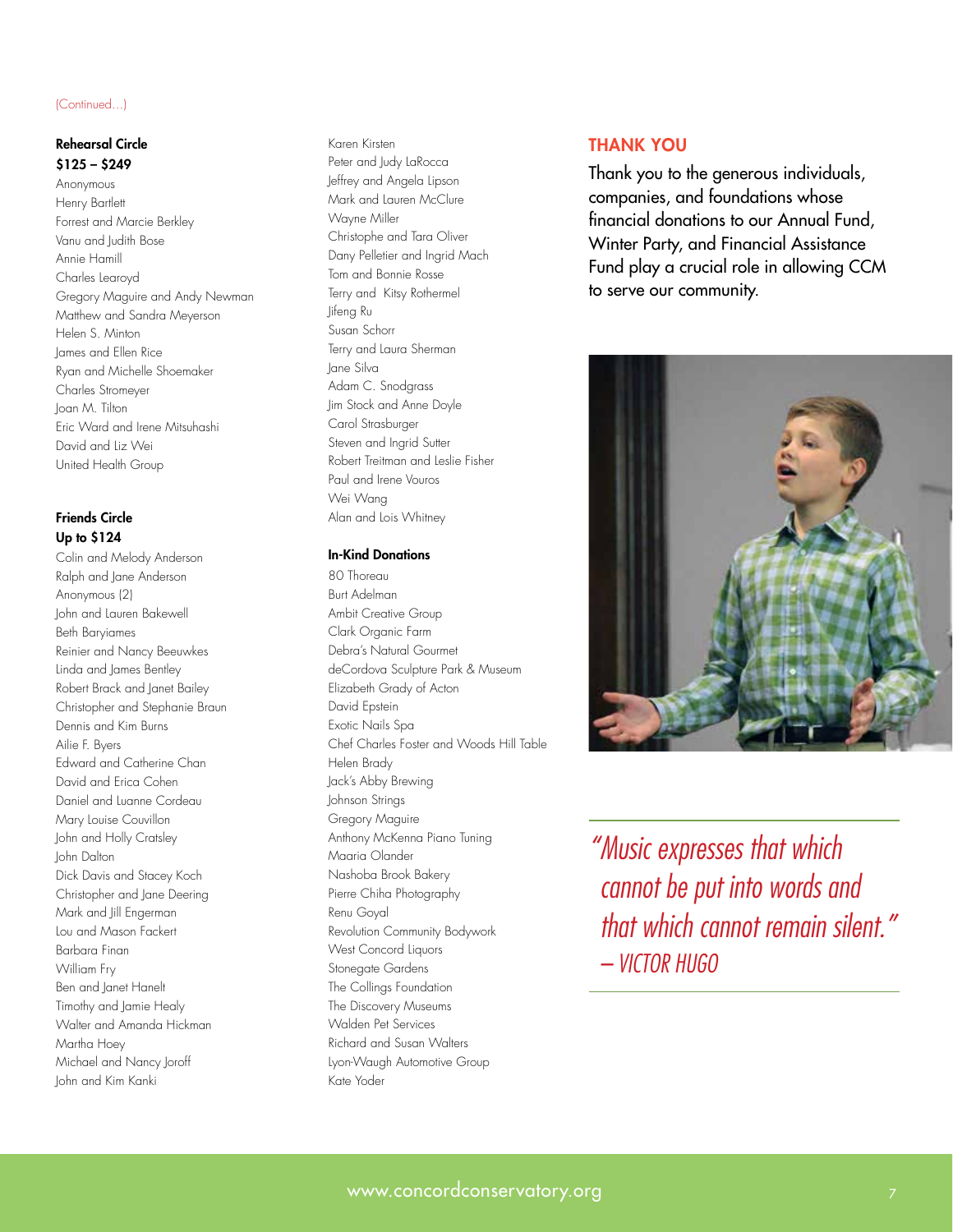#### (Continued...)

#### Rehearsal Circle \$125 – \$249

Anonymous Henry Bartlett Forrest and Marcie Berkley Vanu and Judith Bose Annie Hamill Charles Learoyd Gregory Maguire and Andy Newman Matthew and Sandra Meyerson Helen S. Minton James and Ellen Rice Ryan and Michelle Shoemaker Charles Stromeyer Joan M. Tilton Eric Ward and Irene Mitsuhashi David and Liz Wei United Health Group

#### Friends Circle Up to \$124

Colin and Melody Anderson Ralph and Jane Anderson Anonymous (2) John and Lauren Bakewell Beth Baryiames Reinier and Nancy Beeuwkes Linda and James Bentley Robert Brack and Janet Bailey Christopher and Stephanie Braun Dennis and Kim Burns Ailie F. Byers Edward and Catherine Chan David and Erica Cohen Daniel and Luanne Cordeau Mary Louise Couvillon John and Holly Cratsley John Dalton Dick Davis and Stacey Koch Christopher and Jane Deering Mark and Jill Engerman Lou and Mason Fackert Barbara Finan William Fry Ben and Janet Hanelt Timothy and Jamie Healy Walter and Amanda Hickman Martha Hoey Michael and Nancy Joroff John and Kim Kanki

#### Karen Kirsten Peter and Judy LaRocca Jeffrey and Angela Lipson Mark and Lauren McClure Wayne Miller Christophe and Tara Oliver Dany Pelletier and Ingrid Mach Tom and Bonnie Rosse Terry and Kitsy Rothermel Jifeng Ru Susan Schorr Terry and Laura Sherman Jane Silva Adam C. Snodgrass Jim Stock and Anne Doyle Carol Strasburger Steven and Ingrid Sutter Robert Treitman and Leslie Fisher Paul and Irene Vouros Wei Wang Alan and Lois Whitney

#### In-Kind Donations

80 Thoreau Burt Adelman Ambit Creative Group Clark Organic Farm Debra's Natural Gourmet deCordova Sculpture Park & Museum Elizabeth Grady of Acton David Epstein Exotic Nails Spa Chef Charles Foster and Woods Hill Table Helen Brady Jack's Abby Brewing Johnson Strings Gregory Maguire Anthony McKenna Piano Tuning Maaria Olander Nashoba Brook Bakery Pierre Chiha Photography Renu Goyal Revolution Community Bodywork West Concord Liquors Stonegate Gardens The Collings Foundation The Discovery Museums Walden Pet Services Richard and Susan Walters Lyon-Waugh Automotive Group Kate Yoder

#### THANK YOU

Thank you to the generous individuals, companies, and foundations whose financial donations to our Annual Fund, Winter Party, and Financial Assistance Fund play a crucial role in allowing CCM to serve our community.



*"Music expresses that which cannot be put into words and that which cannot remain silent." – VICTOR HUGO*